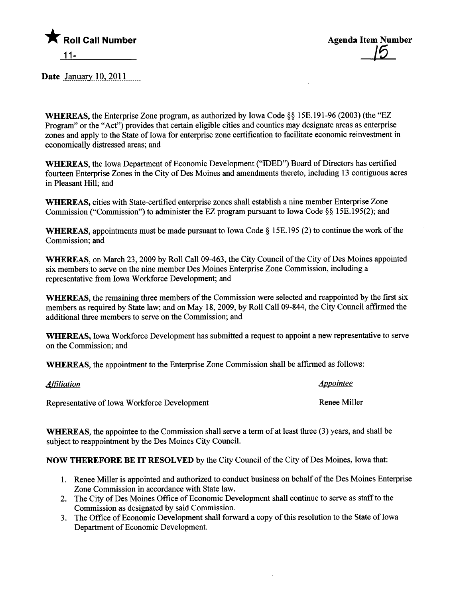

Date January  $10,2011$ <sub>....</sub>

WHEREAS, the Enterprise Zone program, as authorized by Iowa Code §§ 15E.191-96 (2003) (the "EZ Program" or the "Act") provides that certain eligible cities and counties may designate areas as enterprise zones and apply to the State of Iowa for enterprise zone certification to faciltate economic reinvestment in economically distressed areas; and

WHEREAS, the Iowa Department of Economic Development ("IDED") Board of Directors has certified foureen Enterprise Zones in the City of Des Moines and amendments thereto, including 13 contiguous acres in Pleasant Hil; and

WHREAS, cities with State-certified enterprise zones shall establish a nine member Enterprise Zone Commission ("Commission") to administer the EZ program pursuant to Iowa Code §§ 1 5E. 195(2); and

WHEREAS, appointments must be made pursuant to Iowa Code § 15E.195 (2) to continue the work of the Commission; and

WHEREAS, on March 23, 2009 by Roll Call 09-463, the City Council of the City of Des Moines appointed six members to serve on the nine member Des Moines Enterprise Zone Commission, including a representative from Iowa Workforce Development; and

WHEREAS, the remaining three members of the Commission were selected and reappointed by the first six members as required by State law; and on May 18,2009, by Roll Call 09-844, the City Council affirmed the additional three members to serve on the Commission; and

WHEREAS, Iowa Workforce Development has submitted a request to appoint a new representative to serve on the Commission; and

WHREAS, the appointment to the Enterprise Zone Commission shall be affirmed as follows:

| <u> Affiliation</u>                          | <i><u><b>Appointee</b></u></i> |
|----------------------------------------------|--------------------------------|
| Representative of Iowa Workforce Development | Renee Miller                   |

WHEREAS, the appointee to the Commission shall serve a term of at least three (3) years, and shall be subject to reappointment by the Des Moines City Council.

NOW THEREFORE BE IT RESOLVED by the City Council of the City of Des Moines, Iowa that:

- 1. Renee Miler is appointed and authorized to conduct business on behalf of the Des Moines Enterprise Zone Commission in accordance with State law.
- 2. The City of Des Moines Office of Economic Development shall continue to serve as staff to the Commission as designated by said Commission.
- 3. The Office of Economic Development shall forward a copy of this resolution to the State of Iowa Department of Economic Development.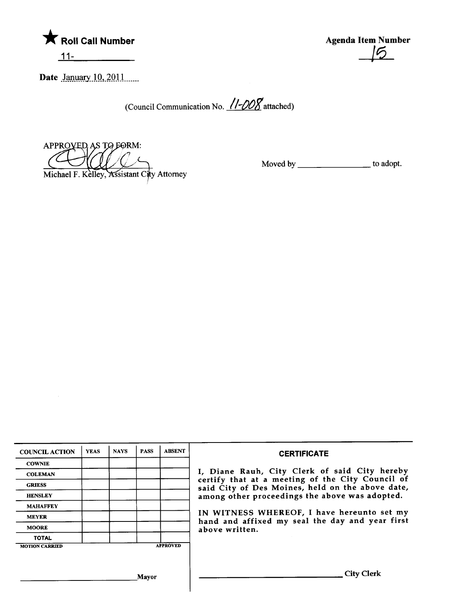

Agenda Item Number  $\epsilon$ 

Date January 10, 2011

(Council Communication No.  $11-\frac{1000}{8}$  attached)

APPROVED AS TO FORM:  $\epsilon$ Michael F. Kelley, Assistant City Attorney

Moved by \_\_\_\_\_\_\_\_\_\_\_\_\_\_\_\_\_\_\_\_\_\_\_to adopt.

| <b>COUNCIL ACTION</b> | <b>YEAS</b>  | <b>NAYS</b> | <b>PASS</b> | <b>ABSENT</b>                                                                                        | <b>CERTIFICATE</b>                                                                            |  |
|-----------------------|--------------|-------------|-------------|------------------------------------------------------------------------------------------------------|-----------------------------------------------------------------------------------------------|--|
| <b>COWNIE</b>         |              |             |             |                                                                                                      |                                                                                               |  |
| <b>COLEMAN</b>        |              |             |             |                                                                                                      | I, Diane Rauh, City Clerk of said City hereby                                                 |  |
| <b>GRIESS</b>         |              |             |             | certify that at a meeting of the City Council of<br>said City of Des Moines, held on the above date, |                                                                                               |  |
| <b>HENSLEY</b>        |              |             |             |                                                                                                      | among other proceedings the above was adopted.                                                |  |
| <b>MAHAFFEY</b>       |              |             |             |                                                                                                      |                                                                                               |  |
| <b>MEYER</b>          |              |             |             |                                                                                                      | IN WITNESS WHEREOF, I have hereunto set my<br>hand and affixed my seal the day and year first |  |
| <b>MOORE</b>          |              |             |             | above written.                                                                                       |                                                                                               |  |
| <b>TOTAL</b>          |              |             |             |                                                                                                      |                                                                                               |  |
| <b>MOTION CARRIED</b> |              |             |             | <b>APPROVED</b>                                                                                      |                                                                                               |  |
|                       |              |             |             |                                                                                                      |                                                                                               |  |
|                       | <b>Mayor</b> |             |             |                                                                                                      | City Clerk                                                                                    |  |